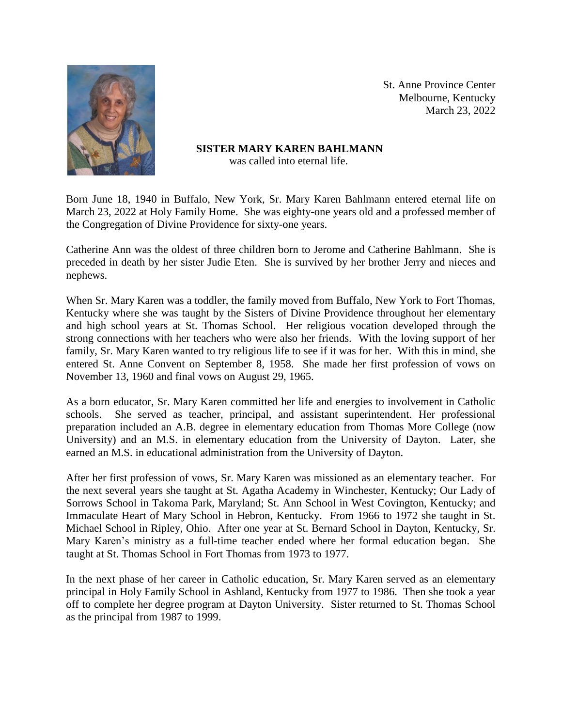

St. Anne Province Center Melbourne, Kentucky March 23, 2022

**SISTER MARY KAREN BAHLMANN** was called into eternal life.

Born June 18, 1940 in Buffalo, New York, Sr. Mary Karen Bahlmann entered eternal life on March 23, 2022 at Holy Family Home. She was eighty-one years old and a professed member of the Congregation of Divine Providence for sixty-one years.

Catherine Ann was the oldest of three children born to Jerome and Catherine Bahlmann. She is preceded in death by her sister Judie Eten. She is survived by her brother Jerry and nieces and nephews.

When Sr. Mary Karen was a toddler, the family moved from Buffalo, New York to Fort Thomas, Kentucky where she was taught by the Sisters of Divine Providence throughout her elementary and high school years at St. Thomas School. Her religious vocation developed through the strong connections with her teachers who were also her friends. With the loving support of her family, Sr. Mary Karen wanted to try religious life to see if it was for her. With this in mind, she entered St. Anne Convent on September 8, 1958. She made her first profession of vows on November 13, 1960 and final vows on August 29, 1965.

As a born educator, Sr. Mary Karen committed her life and energies to involvement in Catholic schools. She served as teacher, principal, and assistant superintendent. Her professional preparation included an A.B. degree in elementary education from Thomas More College (now University) and an M.S. in elementary education from the University of Dayton. Later, she earned an M.S. in educational administration from the University of Dayton.

After her first profession of vows, Sr. Mary Karen was missioned as an elementary teacher. For the next several years she taught at St. Agatha Academy in Winchester, Kentucky; Our Lady of Sorrows School in Takoma Park, Maryland; St. Ann School in West Covington, Kentucky; and Immaculate Heart of Mary School in Hebron, Kentucky. From 1966 to 1972 she taught in St. Michael School in Ripley, Ohio. After one year at St. Bernard School in Dayton, Kentucky, Sr. Mary Karen's ministry as a full-time teacher ended where her formal education began. She taught at St. Thomas School in Fort Thomas from 1973 to 1977.

In the next phase of her career in Catholic education, Sr. Mary Karen served as an elementary principal in Holy Family School in Ashland, Kentucky from 1977 to 1986. Then she took a year off to complete her degree program at Dayton University. Sister returned to St. Thomas School as the principal from 1987 to 1999.